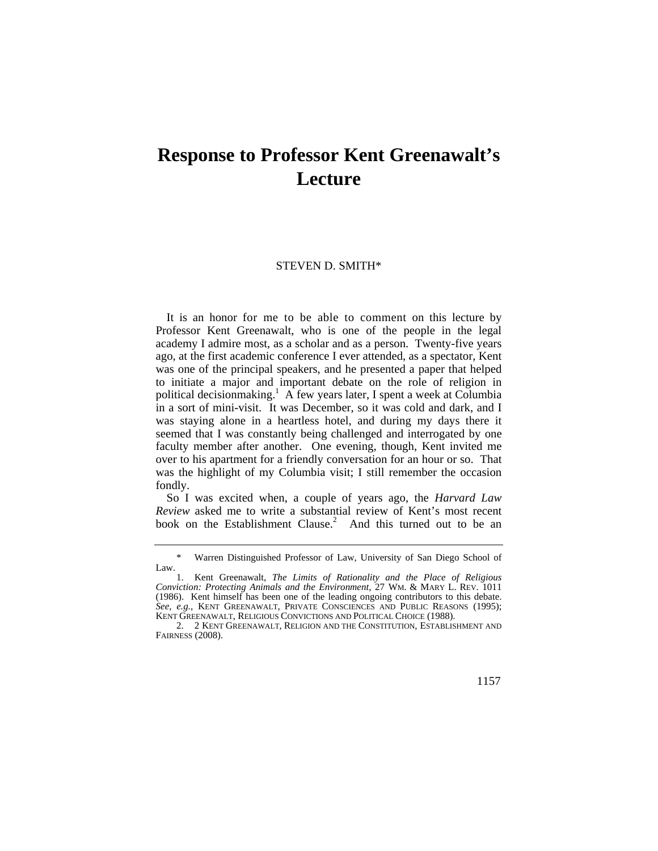## **Response to Professor Kent Greenawalt's Lecture**

## STEVEN D. SMITH\*

 It is an honor for me to be able to comment on this lecture by Professor Kent Greenawalt, who is one of the people in the legal academy I admire most, as a scholar and as a person. Twenty-five years ago, at the first academic conference I ever attended, as a spectator, Kent was one of the principal speakers, and he presented a paper that helped to initiate a major and important debate on the role of religion in political decisionmaking.<sup>1</sup> A few years later, I spent a week at Columbia in a sort of mini-visit. It was December, so it was cold and dark, and I was staying alone in a heartless hotel, and during my days there it seemed that I was constantly being challenged and interrogated by one faculty member after another. One evening, though, Kent invited me over to his apartment for a friendly conversation for an hour or so. That was the highlight of my Columbia visit; I still remember the occasion fondly.

So I was excited when, a couple of years ago, the *Harvard Law Review* asked me to write a substantial review of Kent's most recent book on the Establishment Clause.<sup>2</sup> And this turned out to be an

<sup>\*</sup> Warren Distinguished Professor of Law, University of San Diego School of Law.

 *Conviction: Protecting Animals and the Environment*, 27 WM. & MARY L. REV. 1011 1. Kent Greenawalt, *The Limits of Rationality and the Place of Religious*  (1986). Kent himself has been one of the leading ongoing contributors to this debate. *See, e.g.*, KENT GREENAWALT, PRIVATE CONSCIENCES AND PUBLIC REASONS (1995); KENT GREENAWALT, RELIGIOUS CONVICTIONS AND POLITICAL CHOICE (1988).

 <sup>2. 2</sup> KENT GREENAWALT, RELIGION AND THE CONSTITUTION, ESTABLISHMENT AND FAIRNESS (2008).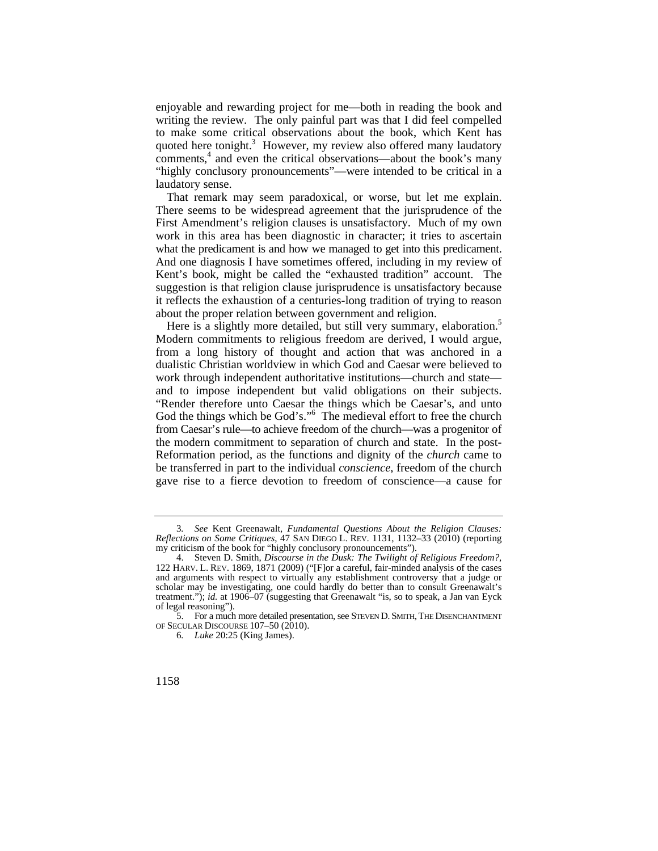enjoyable and rewarding project for me—both in reading the book and writing the review. The only painful part was that I did feel compelled to make some critical observations about the book, which Kent has quoted here tonight.<sup>3</sup> However, my review also offered many laudatory comments,<sup>4</sup> and even the critical observations—about the book's many "highly conclusory pronouncements"—were intended to be critical in a laudatory sense.

That remark may seem paradoxical, or worse, but let me explain. There seems to be widespread agreement that the jurisprudence of the First Amendment's religion clauses is unsatisfactory. Much of my own work in this area has been diagnostic in character; it tries to ascertain what the predicament is and how we managed to get into this predicament. And one diagnosis I have sometimes offered, including in my review of Kent's book, might be called the "exhausted tradition" account. The suggestion is that religion clause jurisprudence is unsatisfactory because it reflects the exhaustion of a centuries-long tradition of trying to reason about the proper relation between government and religion.

Here is a slightly more detailed, but still very summary, elaboration.<sup>5</sup> Modern commitments to religious freedom are derived, I would argue, from a long history of thought and action that was anchored in a dualistic Christian worldview in which God and Caesar were believed to work through independent authoritative institutions—church and state and to impose independent but valid obligations on their subjects. "Render therefore unto Caesar the things which be Caesar's, and unto God the things which be God's."<sup>6</sup> The medieval effort to free the church from Caesar's rule—to achieve freedom of the church—was a progenitor of the modern commitment to separation of church and state. In the post-Reformation period, as the functions and dignity of the *church* came to be transferred in part to the individual *conscience*, freedom of the church gave rise to a fierce devotion to freedom of conscience—a cause for

<sup>3</sup>*. See* Kent Greenawalt, *Fundamental Questions About the Religion Clauses: Reflections on Some Critiques*, 47 SAN DIEGO L. REV. 1131, 1132–33 (2010) (reporting my criticism of the book for "highly conclusory pronouncements").

 122 HARV. L. REV. 1869, 1871 (2009) ("[F]or a careful, fair-minded analysis of the cases 4. Steven D. Smith, *Discourse in the Dusk: The Twilight of Religious Freedom?*, and arguments with respect to virtually any establishment controversy that a judge or scholar may be investigating, one could hardly do better than to consult Greenawalt's treatment."); *id.* at 1906–07 (suggesting that Greenawalt "is, so to speak, a Jan van Eyck of legal reasoning").

<sup>5.</sup> For a much more detailed presentation, see STEVEN D. SMITH, THE DISENCHANTMENT OF SECULAR DISCOURSE 107–50 (2010).

<sup>6</sup>*. Luke* 20:25 (King James).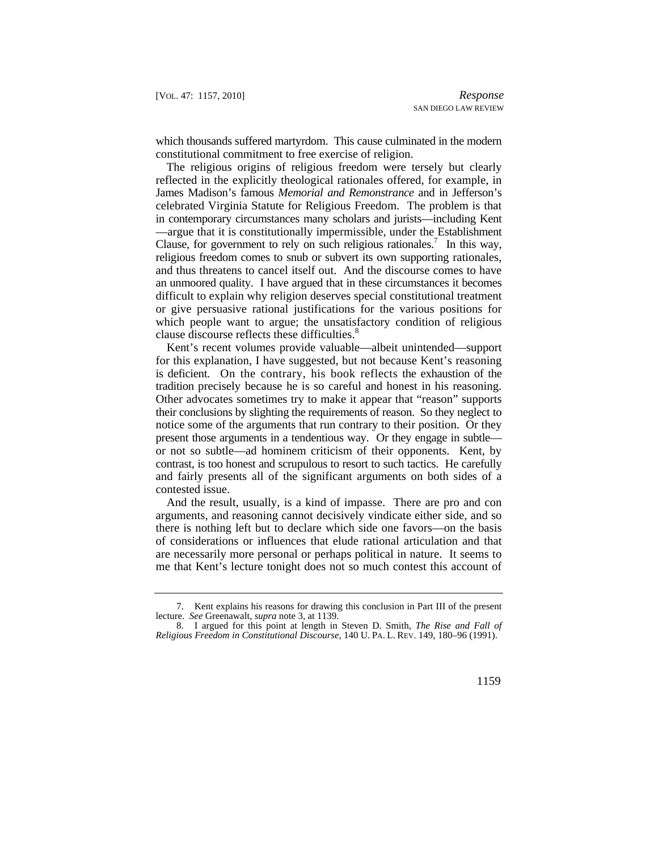which thousands suffered martyrdom. This cause culminated in the modern constitutional commitment to free exercise of religion.

Clause, for government to rely on such religious rationales.<sup>7</sup> In this way, The religious origins of religious freedom were tersely but clearly reflected in the explicitly theological rationales offered, for example, in James Madison's famous *Memorial and Remonstrance* and in Jefferson's celebrated Virginia Statute for Religious Freedom. The problem is that in contemporary circumstances many scholars and jurists—including Kent —argue that it is constitutionally impermissible, under the Establishment religious freedom comes to snub or subvert its own supporting rationales, and thus threatens to cancel itself out. And the discourse comes to have an unmoored quality. I have argued that in these circumstances it becomes difficult to explain why religion deserves special constitutional treatment or give persuasive rational justifications for the various positions for which people want to argue; the unsatisfactory condition of religious clause discourse reflects these difficulties.<sup>8</sup>

 is deficient. On the contrary, his book reflects the exhaustion of the Kent's recent volumes provide valuable—albeit unintended—support for this explanation, I have suggested, but not because Kent's reasoning tradition precisely because he is so careful and honest in his reasoning. Other advocates sometimes try to make it appear that "reason" supports their conclusions by slighting the requirements of reason. So they neglect to notice some of the arguments that run contrary to their position. Or they present those arguments in a tendentious way. Or they engage in subtle or not so subtle—ad hominem criticism of their opponents. Kent, by contrast, is too honest and scrupulous to resort to such tactics. He carefully and fairly presents all of the significant arguments on both sides of a contested issue.

And the result, usually, is a kind of impasse. There are pro and con arguments, and reasoning cannot decisively vindicate either side, and so there is nothing left but to declare which side one favors—on the basis of considerations or influences that elude rational articulation and that are necessarily more personal or perhaps political in nature. It seems to me that Kent's lecture tonight does not so much contest this account of

<sup>7.</sup> Kent explains his reasons for drawing this conclusion in Part III of the present lecture. *See* Greenawalt, *supra* note 3, at 1139.

 *Religious Freedom in Constitutional Discourse*, 140 U. PA. L. REV. 149, 180–96 (1991). 8. I argued for this point at length in Steven D. Smith, *The Rise and Fall of*